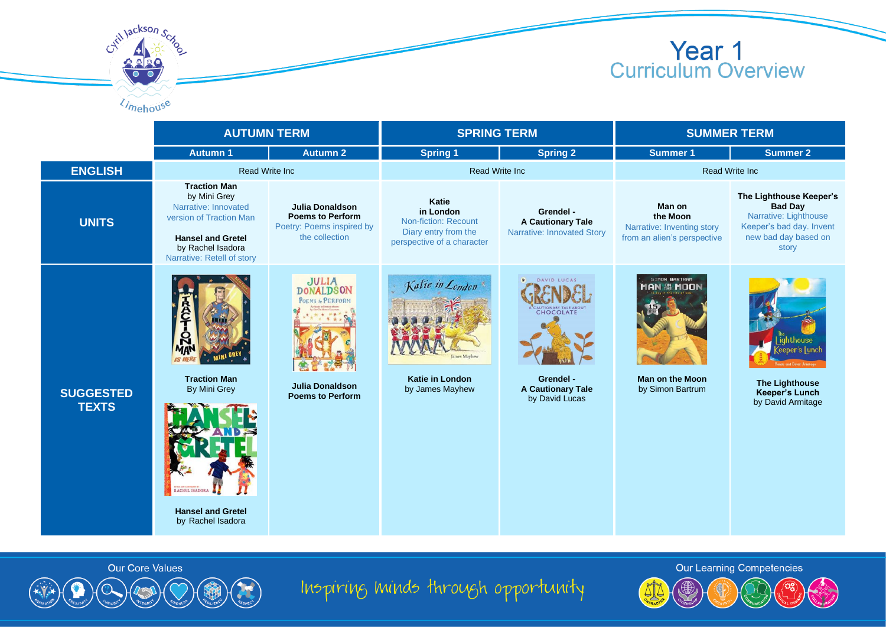

## **Year 1**<br>Curriculum Overview

|                                  | <b>AUTUMN TERM</b>                                                                                                                                                    |                                                                                                           | <b>SPRING TERM</b>                                                                               |                                                                                              | <b>SUMMER TERM</b>                                                              |                                                                                                                                 |
|----------------------------------|-----------------------------------------------------------------------------------------------------------------------------------------------------------------------|-----------------------------------------------------------------------------------------------------------|--------------------------------------------------------------------------------------------------|----------------------------------------------------------------------------------------------|---------------------------------------------------------------------------------|---------------------------------------------------------------------------------------------------------------------------------|
|                                  | <b>Autumn 1</b>                                                                                                                                                       | <b>Autumn 2</b>                                                                                           | <b>Spring 1</b>                                                                                  | <b>Spring 2</b>                                                                              | <b>Summer 1</b>                                                                 | <b>Summer 2</b>                                                                                                                 |
| <b>ENGLISH</b>                   | <b>Read Write Inc.</b>                                                                                                                                                |                                                                                                           | <b>Read Write Inc</b>                                                                            |                                                                                              | <b>Read Write Inc.</b>                                                          |                                                                                                                                 |
| <b>UNITS</b>                     | <b>Traction Man</b><br>by Mini Grey<br>Narrative: Innovated<br>version of Traction Man<br><b>Hansel and Gretel</b><br>by Rachel Isadora<br>Narrative: Retell of story | <b>Julia Donaldson</b><br><b>Poems to Perform</b><br>Poetry: Poems inspired by<br>the collection          | Katie<br>in London<br>Non-fiction: Recount<br>Diary entry from the<br>perspective of a character | Grendel -<br><b>A Cautionary Tale</b><br>Narrative: Innovated Story                          | Man on<br>the Moon<br>Narrative: Inventing story<br>from an alien's perspective | The Lighthouse Keeper's<br><b>Bad Day</b><br>Narrative: Lighthouse<br>Keeper's bad day. Invent<br>new bad day based on<br>story |
| <b>SUGGESTED</b><br><b>TEXTS</b> | <b>Traction Man</b><br><b>By Mini Grey</b><br>RACHEL ISADORA<br><b>Hansel and Gretel</b><br>by Rachel Isadora                                                         | <b>JULIA</b><br><b>DONALDSON</b><br>POEMS to PERFORM<br><b>Julia Donaldson</b><br><b>Poems to Perform</b> | Katie in London<br><b>Katie in London</b><br>by James Mayhew                                     | <b>N</b> DAVID LUCAS<br>CHOCOLATE<br>Grendel -<br><b>A Cautionary Tale</b><br>by David Lucas | SIMON BARTRAM<br>AN NE MOON<br><b>Man on the Moon</b><br>by Simon Bartrum       | ighthouse<br><b>The Lighthouse</b><br><b>Keeper's Lunch</b><br>by David Armitage                                                |



Inspiring minds through opportunity

Our Learning Competencies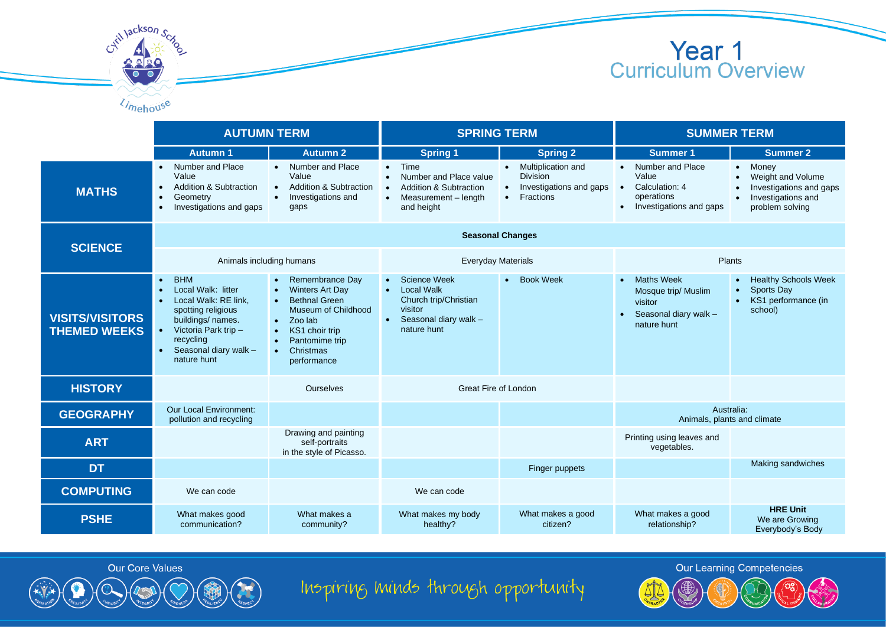

|                                               | <b>AUTUMN TERM</b>                                                                                                                                                                                                      |                                                                                                                                                                               | <b>SPRING TERM</b>                                                                                                               |                                                                                                         | <b>SUMMER TERM</b>                                                                                  |                                                                                                               |  |
|-----------------------------------------------|-------------------------------------------------------------------------------------------------------------------------------------------------------------------------------------------------------------------------|-------------------------------------------------------------------------------------------------------------------------------------------------------------------------------|----------------------------------------------------------------------------------------------------------------------------------|---------------------------------------------------------------------------------------------------------|-----------------------------------------------------------------------------------------------------|---------------------------------------------------------------------------------------------------------------|--|
|                                               | <b>Autumn 1</b>                                                                                                                                                                                                         | <b>Autumn 2</b>                                                                                                                                                               | <b>Spring 1</b>                                                                                                                  | <b>Spring 2</b>                                                                                         | <b>Summer 1</b>                                                                                     | <b>Summer 2</b>                                                                                               |  |
| <b>MATHS</b>                                  | Number and Place<br>$\bullet$<br>Value<br><b>Addition &amp; Subtraction</b><br>Geometry<br>$\bullet$<br>Investigations and gaps<br>$\bullet$                                                                            | • Number and Place<br>Value<br><b>Addition &amp; Subtraction</b><br>Investigations and<br>gaps                                                                                | $\bullet$ Time<br>Number and Place value<br><b>Addition &amp; Subtraction</b><br>Measurement - length<br>$\bullet$<br>and height | Multiplication and<br>$\bullet$<br><b>Division</b><br>Investigations and gaps<br>Fractions<br>$\bullet$ | • Number and Place<br>Value<br>Calculation: 4<br>$\bullet$<br>operations<br>Investigations and gaps | • Money<br>Weight and Volume<br>Investigations and gaps<br>Investigations and<br>$\bullet$<br>problem solving |  |
| <b>SCIENCE</b>                                | <b>Seasonal Changes</b>                                                                                                                                                                                                 |                                                                                                                                                                               |                                                                                                                                  |                                                                                                         |                                                                                                     |                                                                                                               |  |
|                                               | Animals including humans                                                                                                                                                                                                |                                                                                                                                                                               | <b>Everyday Materials</b>                                                                                                        |                                                                                                         | Plants                                                                                              |                                                                                                               |  |
| <b>VISITS/VISITORS</b><br><b>THEMED WEEKS</b> | <b>BHM</b><br>$\bullet$<br>Local Walk: litter<br>Local Walk: RE link,<br>$\bullet$<br>spotting religious<br>buildings/ names.<br>Victoria Park trip -<br>recycling<br>Seasonal diary walk -<br>$\bullet$<br>nature hunt | Remembrance Day<br><b>Winters Art Day</b><br><b>Bethnal Green</b><br>Museum of Childhood<br>$\bullet$ Zoo lab<br>KS1 choir trip<br>Pantomime trip<br>Christmas<br>performance | Science Week<br>• Local Walk<br>Church trip/Christian<br>visitor<br>Seasonal diary walk -<br>$\bullet$<br>nature hunt            | <b>Book Week</b><br>$\bullet$                                                                           | <b>Maths Week</b><br>Mosque trip/ Muslim<br>visitor<br>Seasonal diary walk -<br>nature hunt         | <b>Healthy Schools Week</b><br>Sports Day<br>KS1 performance (in<br>school)                                   |  |
| <b>HISTORY</b>                                |                                                                                                                                                                                                                         | Ourselves                                                                                                                                                                     | Great Fire of London                                                                                                             |                                                                                                         |                                                                                                     |                                                                                                               |  |
| <b>GEOGRAPHY</b>                              | <b>Our Local Environment:</b><br>pollution and recycling                                                                                                                                                                |                                                                                                                                                                               |                                                                                                                                  |                                                                                                         | Australia:<br>Animals, plants and climate                                                           |                                                                                                               |  |
| <b>ART</b>                                    |                                                                                                                                                                                                                         | Drawing and painting<br>self-portraits<br>in the style of Picasso.                                                                                                            |                                                                                                                                  |                                                                                                         | Printing using leaves and<br>vegetables.                                                            |                                                                                                               |  |
| <b>DT</b>                                     |                                                                                                                                                                                                                         |                                                                                                                                                                               |                                                                                                                                  | Finger puppets                                                                                          |                                                                                                     | Making sandwiches                                                                                             |  |
| <b>COMPUTING</b>                              | We can code                                                                                                                                                                                                             |                                                                                                                                                                               | We can code                                                                                                                      |                                                                                                         |                                                                                                     |                                                                                                               |  |
| <b>PSHE</b>                                   | What makes good<br>communication?                                                                                                                                                                                       | What makes a<br>community?                                                                                                                                                    | What makes my body<br>healthy?                                                                                                   | What makes a good<br>citizen?                                                                           | What makes a good<br>relationship?                                                                  | <b>HRE Unit</b><br>We are Growing<br>Everybody's Body                                                         |  |



Cytil Jackson Scy

Limehouse



Inspiring minds through opportunity